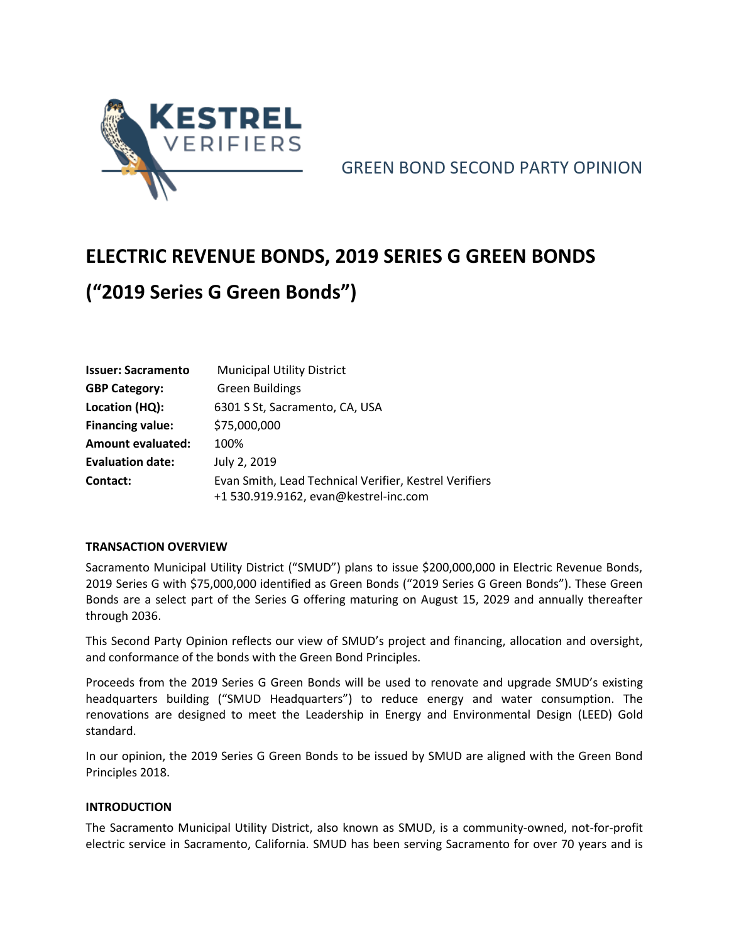

GREEN BOND SECOND PARTY OPINION

# **ELECTRIC REVENUE BONDS, 2019 SERIES G GREEN BONDS ("2019 Series G Green Bonds")**

| <b>Issuer: Sacramento</b> | <b>Municipal Utility District</b>                                                               |  |
|---------------------------|-------------------------------------------------------------------------------------------------|--|
| <b>GBP Category:</b>      | <b>Green Buildings</b>                                                                          |  |
| Location (HQ):            | 6301 S St, Sacramento, CA, USA                                                                  |  |
| <b>Financing value:</b>   | \$75,000,000                                                                                    |  |
| <b>Amount evaluated:</b>  | 100%                                                                                            |  |
| <b>Evaluation date:</b>   | July 2, 2019                                                                                    |  |
| Contact:                  | Evan Smith, Lead Technical Verifier, Kestrel Verifiers<br>+1 530.919.9162, evan@kestrel-inc.com |  |

# **TRANSACTION OVERVIEW**

Sacramento Municipal Utility District ("SMUD") plans to issue \$200,000,000 in Electric Revenue Bonds, 2019 Series G with \$75,000,000 identified as Green Bonds ("2019 Series G Green Bonds"). These Green Bonds are a select part of the Series G offering maturing on August 15, 2029 and annually thereafter through 2036.

This Second Party Opinion reflects our view of SMUD's project and financing, allocation and oversight, and conformance of the bonds with the Green Bond Principles.

Proceeds from the 2019 Series G Green Bonds will be used to renovate and upgrade SMUD's existing headquarters building ("SMUD Headquarters") to reduce energy and water consumption. The renovations are designed to meet the Leadership in Energy and Environmental Design (LEED) Gold standard.

In our opinion, the 2019 Series G Green Bonds to be issued by SMUD are aligned with the Green Bond Principles 2018.

# **INTRODUCTION**

The Sacramento Municipal Utility District, also known as SMUD, is a community-owned, not-for-profit electric service in Sacramento, California. SMUD has been serving Sacramento for over 70 years and is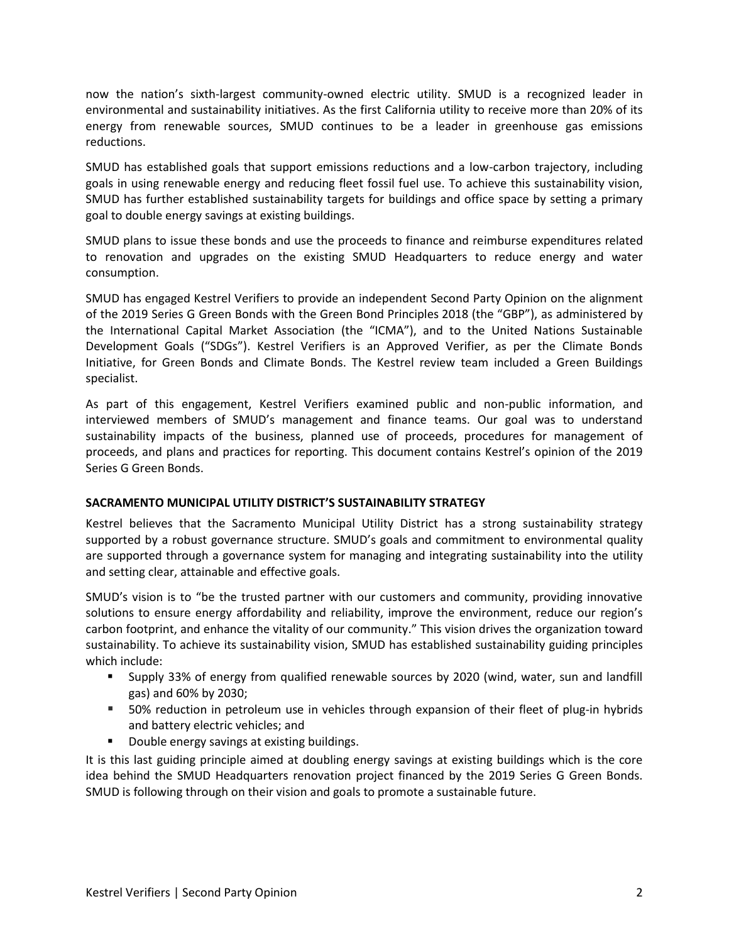now the nation's sixth-largest community-owned electric utility. SMUD is a recognized leader in environmental and sustainability initiatives. As the first California utility to receive more than 20% of its energy from renewable sources, SMUD continues to be a leader in greenhouse gas emissions reductions.

SMUD has established goals that support emissions reductions and a low-carbon trajectory, including goals in using renewable energy and reducing fleet fossil fuel use. To achieve this sustainability vision, SMUD has further established sustainability targets for buildings and office space by setting a primary goal to double energy savings at existing buildings.

SMUD plans to issue these bonds and use the proceeds to finance and reimburse expenditures related to renovation and upgrades on the existing SMUD Headquarters to reduce energy and water consumption.

SMUD has engaged Kestrel Verifiers to provide an independent Second Party Opinion on the alignment of the 2019 Series G Green Bonds with the Green Bond Principles 2018 (the "GBP"), as administered by the International Capital Market Association (the "ICMA"), and to the United Nations Sustainable Development Goals ("SDGs"). Kestrel Verifiers is an Approved Verifier, as per the Climate Bonds Initiative, for Green Bonds and Climate Bonds. The Kestrel review team included a Green Buildings specialist.

As part of this engagement, Kestrel Verifiers examined public and non-public information, and interviewed members of SMUD's management and finance teams. Our goal was to understand sustainability impacts of the business, planned use of proceeds, procedures for management of proceeds, and plans and practices for reporting. This document contains Kestrel's opinion of the 2019 Series G Green Bonds.

# **SACRAMENTO MUNICIPAL UTILITY DISTRICT'S SUSTAINABILITY STRATEGY**

Kestrel believes that the Sacramento Municipal Utility District has a strong sustainability strategy supported by a robust governance structure. SMUD's goals and commitment to environmental quality are supported through a governance system for managing and integrating sustainability into the utility and setting clear, attainable and effective goals.

SMUD's vision is to "be the trusted partner with our customers and community, providing innovative solutions to ensure energy affordability and reliability, improve the environment, reduce our region's carbon footprint, and enhance the vitality of our community." This vision drives the organization toward sustainability. To achieve its sustainability vision, SMUD has established sustainability guiding principles which include:

- Supply 33% of energy from qualified renewable sources by 2020 (wind, water, sun and landfill gas) and 60% by 2030;
- 50% reduction in petroleum use in vehicles through expansion of their fleet of plug-in hybrids and battery electric vehicles; and
- Double energy savings at existing buildings.

It is this last guiding principle aimed at doubling energy savings at existing buildings which is the core idea behind the SMUD Headquarters renovation project financed by the 2019 Series G Green Bonds. SMUD is following through on their vision and goals to promote a sustainable future.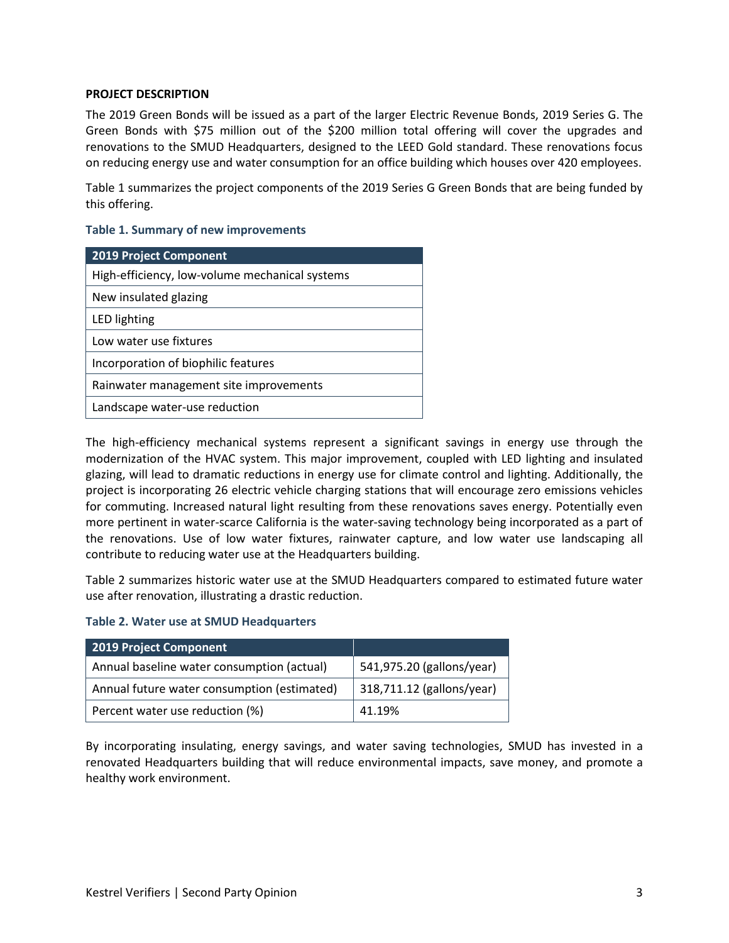### **PROJECT DESCRIPTION**

The 2019 Green Bonds will be issued as a part of the larger Electric Revenue Bonds, 2019 Series G. The Green Bonds with \$75 million out of the \$200 million total offering will cover the upgrades and renovations to the SMUD Headquarters, designed to the LEED Gold standard. These renovations focus on reducing energy use and water consumption for an office building which houses over 420 employees.

Table 1 summarizes the project components of the 2019 Series G Green Bonds that are being funded by this offering.

#### **Table 1. Summary of new improvements**

| <b>2019 Project Component</b>                  |  |  |
|------------------------------------------------|--|--|
| High-efficiency, low-volume mechanical systems |  |  |
| New insulated glazing                          |  |  |
| LED lighting                                   |  |  |
| Low water use fixtures                         |  |  |
| Incorporation of biophilic features            |  |  |
| Rainwater management site improvements         |  |  |
| Landscape water-use reduction                  |  |  |

The high-efficiency mechanical systems represent a significant savings in energy use through the modernization of the HVAC system. This major improvement, coupled with LED lighting and insulated glazing, will lead to dramatic reductions in energy use for climate control and lighting. Additionally, the project is incorporating 26 electric vehicle charging stations that will encourage zero emissions vehicles for commuting. Increased natural light resulting from these renovations saves energy. Potentially even more pertinent in water-scarce California is the water-saving technology being incorporated as a part of the renovations. Use of low water fixtures, rainwater capture, and low water use landscaping all contribute to reducing water use at the Headquarters building.

Table 2 summarizes historic water use at the SMUD Headquarters compared to estimated future water use after renovation, illustrating a drastic reduction.

#### **Table 2. Water use at SMUD Headquarters**

| 2019 Project Component                      |                           |
|---------------------------------------------|---------------------------|
| Annual baseline water consumption (actual)  | 541,975.20 (gallons/year) |
| Annual future water consumption (estimated) | 318,711.12 (gallons/year) |
| Percent water use reduction (%)             | 41.19%                    |

By incorporating insulating, energy savings, and water saving technologies, SMUD has invested in a renovated Headquarters building that will reduce environmental impacts, save money, and promote a healthy work environment.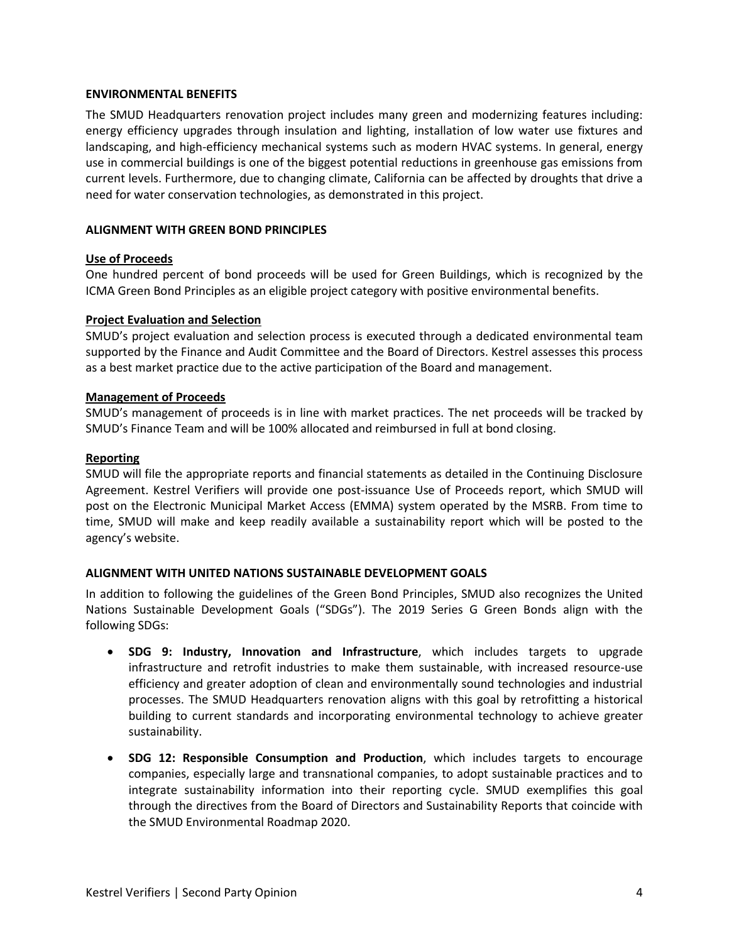#### **ENVIRONMENTAL BENEFITS**

The SMUD Headquarters renovation project includes many green and modernizing features including: energy efficiency upgrades through insulation and lighting, installation of low water use fixtures and landscaping, and high-efficiency mechanical systems such as modern HVAC systems. In general, energy use in commercial buildings is one of the biggest potential reductions in greenhouse gas emissions from current levels. Furthermore, due to changing climate, California can be affected by droughts that drive a need for water conservation technologies, as demonstrated in this project.

### **ALIGNMENT WITH GREEN BOND PRINCIPLES**

### **Use of Proceeds**

One hundred percent of bond proceeds will be used for Green Buildings, which is recognized by the ICMA Green Bond Principles as an eligible project category with positive environmental benefits.

### **Project Evaluation and Selection**

SMUD's project evaluation and selection process is executed through a dedicated environmental team supported by the Finance and Audit Committee and the Board of Directors. Kestrel assesses this process as a best market practice due to the active participation of the Board and management.

### **Management of Proceeds**

SMUD's management of proceeds is in line with market practices. The net proceeds will be tracked by SMUD's Finance Team and will be 100% allocated and reimbursed in full at bond closing.

### **Reporting**

SMUD will file the appropriate reports and financial statements as detailed in the Continuing Disclosure Agreement. Kestrel Verifiers will provide one post-issuance Use of Proceeds report, which SMUD will post on the Electronic Municipal Market Access (EMMA) system operated by the MSRB. From time to time, SMUD will make and keep readily available a sustainability report which will be posted to the agency's website.

# **ALIGNMENT WITH UNITED NATIONS SUSTAINABLE DEVELOPMENT GOALS**

In addition to following the guidelines of the Green Bond Principles, SMUD also recognizes the United Nations Sustainable Development Goals ("SDGs"). The 2019 Series G Green Bonds align with the following SDGs:

- **SDG 9: Industry, Innovation and Infrastructure**, which includes targets to upgrade infrastructure and retrofit industries to make them sustainable, with increased resource-use efficiency and greater adoption of clean and environmentally sound technologies and industrial processes. The SMUD Headquarters renovation aligns with this goal by retrofitting a historical building to current standards and incorporating environmental technology to achieve greater sustainability.
- **SDG 12: Responsible Consumption and Production**, which includes targets to encourage companies, especially large and transnational companies, to adopt sustainable practices and to integrate sustainability information into their reporting cycle. SMUD exemplifies this goal through the directives from the Board of Directors and Sustainability Reports that coincide with the SMUD Environmental Roadmap 2020.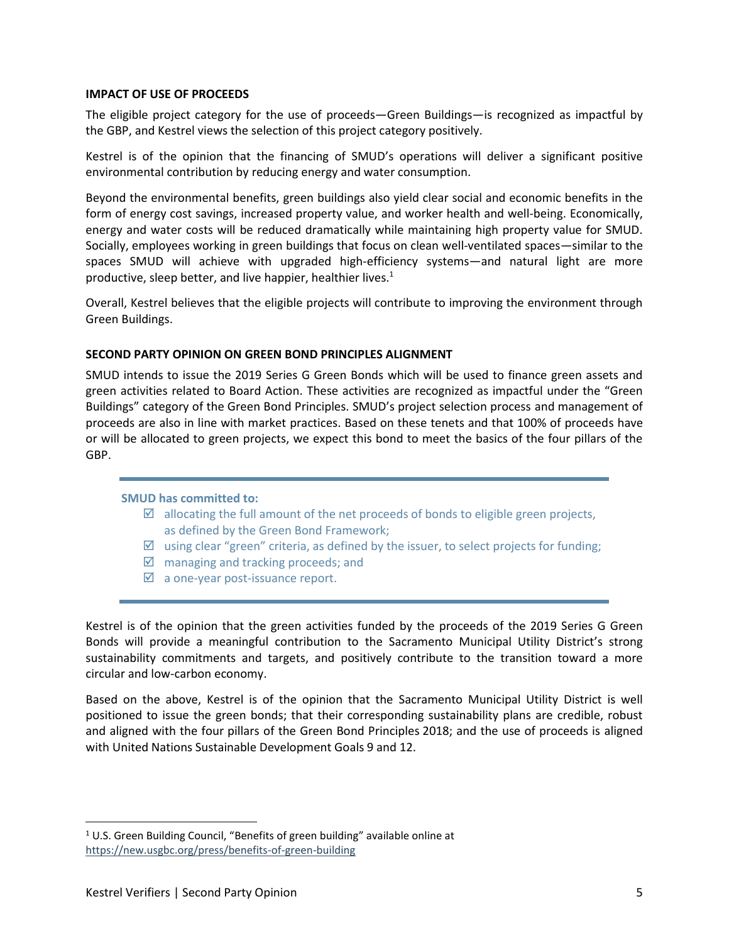#### **IMPACT OF USE OF PROCEEDS**

The eligible project category for the use of proceeds—Green Buildings—is recognized as impactful by the GBP, and Kestrel views the selection of this project category positively.

Kestrel is of the opinion that the financing of SMUD's operations will deliver a significant positive environmental contribution by reducing energy and water consumption.

Beyond the environmental benefits, green buildings also yield clear social and economic benefits in the form of energy cost savings, increased property value, and worker health and well-being. Economically, energy and water costs will be reduced dramatically while maintaining high property value for SMUD. Socially, employees working in green buildings that focus on clean well-ventilated spaces—similar to the spaces SMUD will achieve with upgraded high-efficiency systems—and natural light are more productive, sleep better, and live happier, healthier lives.<sup>1</sup>

Overall, Kestrel believes that the eligible projects will contribute to improving the environment through Green Buildings.

### **SECOND PARTY OPINION ON GREEN BOND PRINCIPLES ALIGNMENT**

SMUD intends to issue the 2019 Series G Green Bonds which will be used to finance green assets and green activities related to Board Action. These activities are recognized as impactful under the "Green Buildings" category of the Green Bond Principles. SMUD's project selection process and management of proceeds are also in line with market practices. Based on these tenets and that 100% of proceeds have or will be allocated to green projects, we expect this bond to meet the basics of the four pillars of the GBP.

#### **SMUD has committed to:**

- $\boxtimes$  allocating the full amount of the net proceeds of bonds to eligible green projects, as defined by the Green Bond Framework;
- $\boxtimes$  using clear "green" criteria, as defined by the issuer, to select projects for funding;
- $\boxtimes$  managing and tracking proceeds; and
- $\boxtimes$  a one-year post-issuance report.

Kestrel is of the opinion that the green activities funded by the proceeds of the 2019 Series G Green Bonds will provide a meaningful contribution to the Sacramento Municipal Utility District's strong sustainability commitments and targets, and positively contribute to the transition toward a more circular and low-carbon economy.

Based on the above, Kestrel is of the opinion that the Sacramento Municipal Utility District is well positioned to issue the green bonds; that their corresponding sustainability plans are credible, robust and aligned with the four pillars of the Green Bond Principles 2018; and the use of proceeds is aligned with United Nations Sustainable Development Goals 9 and 12.

 $1$  U.S. Green Building Council, "Benefits of green building" available online at <https://new.usgbc.org/press/benefits-of-green-building>